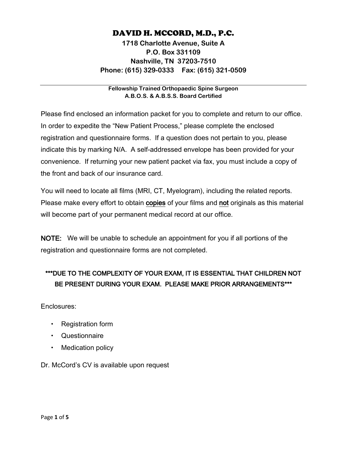**1718 Charlotte Avenue, Suite A P.O. Box 331109 Nashville, TN 37203-7510 Phone: (615) 329-0333 Fax: (615) 321-0509**

### **Fellowship Trained Orthopaedic Spine Surgeon A.B.O.S. & A.B.S.S. Board Certified**

Please find enclosed an information packet for you to complete and return to our office. In order to expedite the "New Patient Process," please complete the enclosed registration and questionnaire forms. If a question does not pertain to you, please indicate this by marking N/A. A self-addressed envelope has been provided for your convenience. If returning your new patient packet via fax, you must include a copy of the front and back of our insurance card.

You will need to locate all films (MRI, CT, Myelogram), including the related reports. Please make every effort to obtain copies of your films and not originals as this material will become part of your permanent medical record at our office.

NOTE: We will be unable to schedule an appointment for you if all portions of the registration and questionnaire forms are not completed.

# \*\*\*DUE TO THE COMPLEXITY OF YOUR EXAM, IT IS ESSENTIAL THAT CHILDREN NOT BE PRESENT DURING YOUR EXAM. PLEASE MAKE PRIOR ARRANGEMENTS\*\*\*

Enclosures:

- **•** Registration form
- **•** Questionnaire
- **•** Medication policy

Dr. McCord's CV is available upon request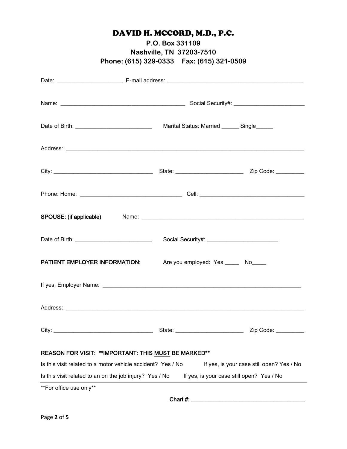# **P.O. Box 331109 Nashville, TN 37203-7510 Phone: (615) 329-0333 Fax: (615) 321-0509**

| Date of Birth: <u>________________________________</u>      | Marital Status: Married ______ Single_____ |                                           |
|-------------------------------------------------------------|--------------------------------------------|-------------------------------------------|
|                                                             |                                            |                                           |
|                                                             |                                            |                                           |
|                                                             |                                            |                                           |
|                                                             |                                            |                                           |
|                                                             |                                            |                                           |
| PATIENT EMPLOYER INFORMATION:                               | Are you employed: Yes ______ No_____       |                                           |
|                                                             |                                            |                                           |
|                                                             |                                            |                                           |
|                                                             | State: __________________________          | Zip Code: ________                        |
| REASON FOR VISIT: **IMPORTANT: THIS MUST BE MARKED**        |                                            |                                           |
| Is this visit related to a motor vehicle accident? Yes / No |                                            | If yes, is your case still open? Yes / No |
| Is this visit related to an on the job injury? Yes / No     |                                            | If yes, is your case still open? Yes / No |
| **For office use only**                                     |                                            |                                           |
|                                                             | Chart $#$ :                                |                                           |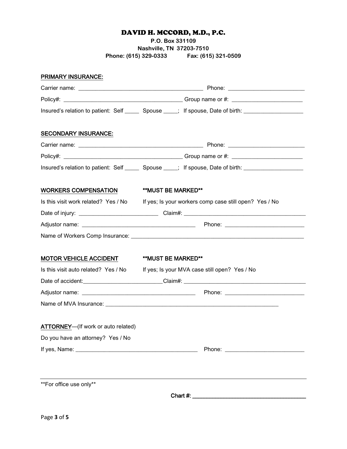**P.O. Box 331109 Nashville, TN 37203-7510 Phone: (615) 329-0333 Fax: (615) 321-0509**

| <b>PRIMARY INSURANCE:</b>                  |                                                                                                                                                                                                                                      |
|--------------------------------------------|--------------------------------------------------------------------------------------------------------------------------------------------------------------------------------------------------------------------------------------|
|                                            |                                                                                                                                                                                                                                      |
|                                            |                                                                                                                                                                                                                                      |
|                                            | Insured's relation to patient: Self _______ Spouse _____; If spouse, Date of birth: ________________                                                                                                                                 |
| <b>SECONDARY INSURANCE:</b>                |                                                                                                                                                                                                                                      |
|                                            | Carrier name: <u>example and contract and contract and contract and contract and contract and contract and contract and contract and contract and contract and contract and contract and contract and contract and contract and </u> |
|                                            |                                                                                                                                                                                                                                      |
|                                            | Insured's relation to patient: Self _______ Spouse _____; If spouse, Date of birth: ________________                                                                                                                                 |
| <b>WORKERS COMPENSATION</b>                | **MUST BE MARKED**                                                                                                                                                                                                                   |
| Is this visit work related? Yes / No       | If yes; Is your workers comp case still open? Yes / No                                                                                                                                                                               |
|                                            |                                                                                                                                                                                                                                      |
|                                            |                                                                                                                                                                                                                                      |
|                                            |                                                                                                                                                                                                                                      |
|                                            |                                                                                                                                                                                                                                      |
| <b>MOTOR VEHICLE ACCIDENT</b>              | **MUST BE MARKED**                                                                                                                                                                                                                   |
| Is this visit auto related? Yes / No       | If yes; Is your MVA case still open? Yes / No                                                                                                                                                                                        |
|                                            | Date of accident:______________________________Claim#: __________________________                                                                                                                                                    |
|                                            |                                                                                                                                                                                                                                      |
|                                            |                                                                                                                                                                                                                                      |
|                                            |                                                                                                                                                                                                                                      |
| <b>ATTORNEY</b> -(If work or auto related) |                                                                                                                                                                                                                                      |
| Do you have an attorney? Yes / No          |                                                                                                                                                                                                                                      |
|                                            |                                                                                                                                                                                                                                      |
|                                            |                                                                                                                                                                                                                                      |
| **For office use only**                    |                                                                                                                                                                                                                                      |
|                                            |                                                                                                                                                                                                                                      |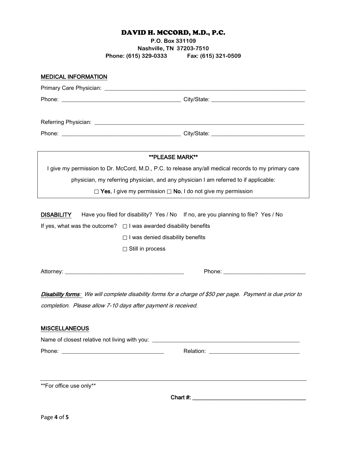**P.O. Box 331109 Nashville, TN 37203-7510 Phone: (615) 329-0333 Fax: (615) 321-0509**

| <b>MEDICAL INFORMATION</b>                                             |                                                                                                                                                                                                                                      |
|------------------------------------------------------------------------|--------------------------------------------------------------------------------------------------------------------------------------------------------------------------------------------------------------------------------------|
|                                                                        |                                                                                                                                                                                                                                      |
|                                                                        |                                                                                                                                                                                                                                      |
|                                                                        |                                                                                                                                                                                                                                      |
|                                                                        |                                                                                                                                                                                                                                      |
|                                                                        | <b>**PLEASE MARK**</b>                                                                                                                                                                                                               |
|                                                                        | I give my permission to Dr. McCord, M.D., P.C. to release any/all medical records to my primary care                                                                                                                                 |
|                                                                        | physician, my referring physician, and any physician I am referred to if applicable:                                                                                                                                                 |
|                                                                        | $\Box$ Yes, I give my permission $\Box$ No, I do not give my permission                                                                                                                                                              |
|                                                                        |                                                                                                                                                                                                                                      |
| <b>DISABILITY</b>                                                      | Have you filed for disability? Yes / No If no, are you planning to file? Yes / No                                                                                                                                                    |
| If yes, what was the outcome? $\Box$ I was awarded disability benefits |                                                                                                                                                                                                                                      |
|                                                                        | $\Box$ I was denied disability benefits                                                                                                                                                                                              |
| $\Box$ Still in process                                                |                                                                                                                                                                                                                                      |
|                                                                        |                                                                                                                                                                                                                                      |
|                                                                        | Phone: <u>with the set of the set of the set of the set of the set of the set of the set of the set of the set of the set of the set of the set of the set of the set of the set of the set of the set of the set of the set of </u> |
|                                                                        |                                                                                                                                                                                                                                      |
|                                                                        | Disability forms: We will complete disability forms for a charge of \$50 per page. Payment is due prior to                                                                                                                           |
| completion. Please allow 7-10 days after payment is received.          |                                                                                                                                                                                                                                      |
|                                                                        |                                                                                                                                                                                                                                      |
| <b>MISCELLANEOUS</b>                                                   |                                                                                                                                                                                                                                      |
|                                                                        | Name of closest relative not living with you: __________________________________                                                                                                                                                     |
|                                                                        |                                                                                                                                                                                                                                      |
|                                                                        |                                                                                                                                                                                                                                      |
|                                                                        |                                                                                                                                                                                                                                      |
| **For office use only**                                                |                                                                                                                                                                                                                                      |
|                                                                        |                                                                                                                                                                                                                                      |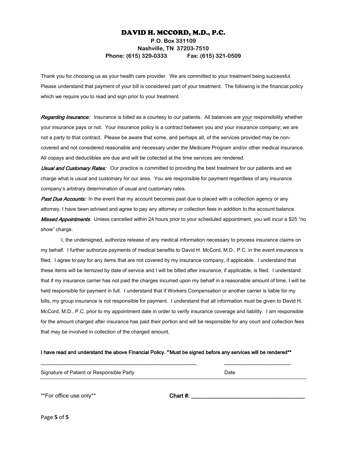**P.O. Box 331109**

### **Nashville, TN 37203-7510 Phone: (615) 329-0333 Fax: (615) 321-0509**

Thank you for choosing us as your health care provider. We are committed to your treatment being successful. Please understand that payment of your bill is considered part of your treatment. The following is the financial policy which we require you to read and sign prior to your treatment.

Regarding Insurance: Insurance is billed as a courtesy to our patients. All balances are your responsibility whether your insurance pays or not. Your insurance policy is a contract between you and your insurance company; we are not a party to that contract. Please be aware that some, and perhaps all, of the services provided may be noncovered and not considered reasonable and necessary under the Medicare Program and/or other medical insurance. All copays and deductibles are due and will be collected at the time services are rendered.

Usual and Customary Rates: Our practice is committed to providing the best treatment for our patients and we charge what is usual and customary for our area. You are responsible for payment regardless of any insurance company's arbitrary determination of usual and customary rates.

Past Due Accounts: In the event that my account becomes past due is placed with a collection agency or any attorney, I have been advised and agree to pay any attorney or collection fees in addition to the account balance.

Missed Appointments: Unless cancelled within 24 hours prior to your scheduled appointment, you will incur a \$25 "no show" charge.

I, the undersigned, authorize release of any medical information necessary to process insurance claims on my behalf. I further authorize payments of medical benefits to David H. McCord, M.D., P.C. in the event insurance is filed. I agree to pay for any items that are not covered by my insurance company, if applicable. I understand that these items will be itemized by date of service and I will be billed after insurance, if applicable, is filed. I understand that if my insurance carrier has not paid the charges incurred upon my behalf in a reasonable amount of time, I will be held responsible for payment in full. I understand that if Workers Compensation or another carrier is liable for my bills, my group insurance is not responsible for payment. I understand that all information must be given to David H. McCord, M.D., P.C. prior to my appointment date in order to verify insurance coverage and liability. I am responsible for the amount charged after insurance has paid their portion and will be responsible for any court and collection fees that may be involved in collection of the charged amount.

### I have read and understand the above Financial Policy. "'Must be signed before any services will be rendered\*\* \_\_\_\_\_\_\_\_\_\_\_\_\_\_\_\_\_\_\_\_\_\_\_\_\_\_\_\_\_\_\_\_\_\_\_\_\_\_\_\_\_\_\_\_\_\_\_\_\_\_\_\_\_\_\_\_\_\_\_\_\_ \_\_\_\_\_\_\_\_\_\_\_\_\_\_\_\_\_\_\_\_\_\_\_\_\_\_

Signature of Patient or Responsible Party **Date** Date Date

\*\*For office use only\*\* example that the chart the Chart the chart of the chart of the chart the chart the chart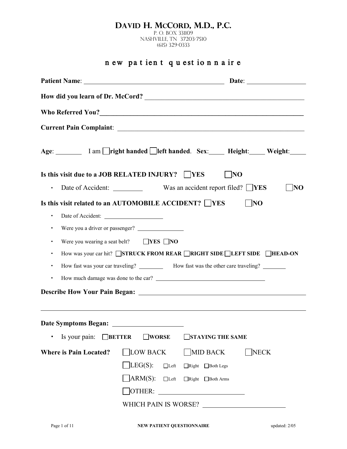P. O. Box 331109 Nashville, TN 37203-7510 (615) 329-0333

n ew pat ient quest ionnaire

|                                                             |                                                                  | Age: I am right handed Ileft handed. Sex: Height: Weight:           |                 |
|-------------------------------------------------------------|------------------------------------------------------------------|---------------------------------------------------------------------|-----------------|
| Is this visit due to a JOB RELATED INJURY? $\Box$ YES       |                                                                  | $\Box$ NO                                                           |                 |
| $\bullet$                                                   |                                                                  | Date of Accident: Was an accident report filed? VES                 | $\overline{NQ}$ |
| Is this visit related to an AUTOMOBILE ACCIDENT? $\Box$ YES |                                                                  | N <sub>0</sub>                                                      |                 |
| $\bullet$                                                   |                                                                  |                                                                     |                 |
| $\bullet$                                                   | Were you a driver or passenger?                                  |                                                                     |                 |
| $\bullet$                                                   | Were you wearing a seat belt? $\Box$ <b>YES</b> $\Box$ <b>NO</b> |                                                                     |                 |
| $\bullet$                                                   |                                                                  | How was your car hit? STRUCK FROM REAR RIGHT SIDE LEFT SIDE HEAD-ON |                 |
| $\bullet$                                                   |                                                                  |                                                                     |                 |
| $\bullet$                                                   |                                                                  |                                                                     |                 |
|                                                             |                                                                  |                                                                     |                 |
|                                                             |                                                                  |                                                                     |                 |
|                                                             |                                                                  |                                                                     |                 |
|                                                             |                                                                  |                                                                     |                 |
| Is your pain: $\Box$ BETTER                                 | $\Box$ WORSE                                                     | $\Box$ STAYING THE SAME                                             |                 |
| <b>Where is Pain Located?</b>                               | $\Box$ LOW BACK                                                  | $\Box$ MID BACK<br><b>NECK</b>                                      |                 |
|                                                             | $LEG(S)$ :<br>$\n  Let$                                          | Right Both Legs                                                     |                 |
|                                                             | $ARM(S)$ : $Left$                                                | Right Both Arms                                                     |                 |
|                                                             |                                                                  | $\Box$ OTHER: $\_\_$                                                |                 |
|                                                             | WHICH PAIN IS WORSE?                                             |                                                                     |                 |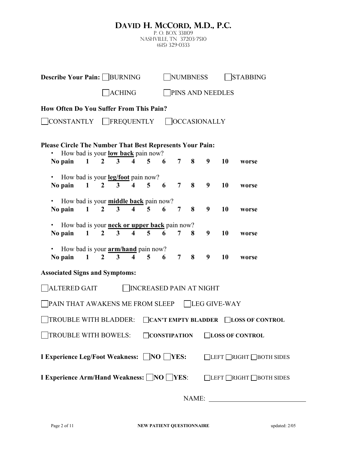**David H. McCord, M.D., P.C.** P. O. Box 331109

Nashville, TN 37203-7510 (615) 329-0333

| <b>Describe Your Pain:</b> BURNING                                                                                 |                |                | NUMBNESS<br><b>STABBING</b> |                         |                               |                     |                |   |              |              |                                            |  |
|--------------------------------------------------------------------------------------------------------------------|----------------|----------------|-----------------------------|-------------------------|-------------------------------|---------------------|----------------|---|--------------|--------------|--------------------------------------------|--|
| <b>ACHING</b>                                                                                                      |                |                |                             | <b>PINS AND NEEDLES</b> |                               |                     |                |   |              |              |                                            |  |
| <b>How Often Do You Suffer From This Pain?</b>                                                                     |                |                |                             |                         |                               |                     |                |   |              |              |                                            |  |
| CONSTANTLY                                                                                                         |                |                |                             |                         | <b>FREQUENTLY</b>             |                     |                |   | OCCASIONALLY |              |                                            |  |
|                                                                                                                    |                |                |                             |                         |                               |                     |                |   |              |              |                                            |  |
| <b>Please Circle The Number That Best Represents Your Pain:</b><br>How bad is your low back pain now?<br>$\bullet$ |                |                |                             |                         |                               |                     |                |   |              |              |                                            |  |
| No pain                                                                                                            | $\blacksquare$ | $2^{\circ}$    | $3^{\circ}$                 | $\overline{4}$          | $5\qquad 6$                   |                     | $\overline{7}$ | 8 | 9            | 10           | worse                                      |  |
| How bad is your <b>leg/foot</b> pain now?<br>٠                                                                     |                |                |                             |                         |                               |                     |                |   |              |              |                                            |  |
| No pain                                                                                                            | $\blacksquare$ | $\overline{2}$ | 3 <sup>1</sup>              | $\overline{\mathbf{4}}$ | $\overline{5}$                | 6                   | 7              | 8 | 9            | 10           | worse                                      |  |
| How bad is your <b>middle back</b> pain now?<br>$\bullet$                                                          |                | $\overline{2}$ | $3^{\circ}$                 |                         | $\overline{5}$                | 6                   |                | 8 | 9            |              |                                            |  |
| No pain                                                                                                            | $\mathbf{1}$   |                |                             | $\overline{\mathbf{4}}$ |                               |                     | $\overline{7}$ |   |              | 10           | worse                                      |  |
| How bad is your <b>neck or upper back</b> pain now?<br>$\bullet$<br>No pain                                        | $\blacksquare$ | $2^{\circ}$    | $\mathbf{3}$                | $\overline{\mathbf{4}}$ | 5                             | 6                   | $\overline{7}$ | 8 | 9            | 10           | worse                                      |  |
|                                                                                                                    |                |                |                             |                         |                               |                     |                |   |              |              |                                            |  |
| How bad is your <b>arm/hand</b> pain now?<br>$\bullet$<br>No pain                                                  | $\mathbf{1}$   | $\overline{2}$ | 3 <sup>1</sup>              | $\overline{\mathbf{4}}$ | 5                             | 6                   | $\overline{7}$ | 8 | 9            | 10           | worse                                      |  |
| <b>Associated Signs and Symptoms:</b>                                                                              |                |                |                             |                         |                               |                     |                |   |              |              |                                            |  |
| ALTERED GAIT                                                                                                       |                |                |                             |                         | <b>NOREASED PAIN AT NIGHT</b> |                     |                |   |              |              |                                            |  |
| PAIN THAT AWAKENS ME FROM SLEEP                                                                                    |                |                |                             |                         |                               |                     |                |   |              | LEG GIVE-WAY |                                            |  |
| <b>TROUBLE WITH BLADDER:</b><br>$\Box$ CAN'T EMPTY BLADDER $\Box$ LOSS OF CONTROL                                  |                |                |                             |                         |                               |                     |                |   |              |              |                                            |  |
| TROUBLE WITH BOWELS:                                                                                               |                |                |                             |                         |                               | $\Box$ CONSTIPATION |                |   |              |              | <b>LOSS OF CONTROL</b>                     |  |
| I Experience Leg/Foot Weakness: □NO □YES:                                                                          |                |                |                             |                         |                               |                     |                |   |              |              | $\Box$ LEFT $\Box$ RIGHT $\Box$ BOTH SIDES |  |
|                                                                                                                    |                |                |                             |                         |                               |                     |                |   |              |              |                                            |  |
| I Experience Arm/Hand Weakness: □NO □YES:                                                                          |                |                |                             |                         |                               |                     |                |   |              |              | $\Box$ LEFT $\Box$ RIGHT $\Box$ BOTH SIDES |  |
|                                                                                                                    |                |                |                             |                         |                               |                     |                |   |              |              |                                            |  |

NAME: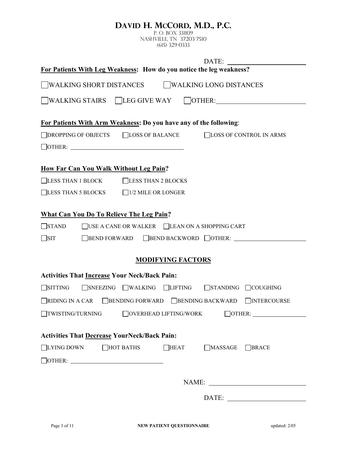P. O. Box 331109 Nashville, TN 37203-7510 (615) 329-0333

|              |                                    |                                                      |                          |                                                                     | DATE:                                                                               |
|--------------|------------------------------------|------------------------------------------------------|--------------------------|---------------------------------------------------------------------|-------------------------------------------------------------------------------------|
|              |                                    |                                                      |                          | For Patients With Leg Weakness: How do you notice the leg weakness? |                                                                                     |
|              |                                    |                                                      |                          | $\square$ WALKING SHORT DISTANCES $\square$ WALKING LONG DISTANCES  |                                                                                     |
|              |                                    |                                                      |                          |                                                                     | □ WALKING STAIRS □ LEG GIVE WAY □ OTHER:                                            |
|              |                                    |                                                      |                          |                                                                     |                                                                                     |
|              |                                    |                                                      |                          | For Patients With Arm Weakness: Do you have any of the following:   |                                                                                     |
|              |                                    |                                                      |                          |                                                                     | $\Box$ DROPPING OF OBJECTS $\Box$ LOSS OF BALANCE $\Box$ LOSS OF CONTROL IN ARMS    |
|              |                                    | $\boxed{\text{OTHER:}}$                              |                          |                                                                     |                                                                                     |
|              |                                    | <b>How Far Can You Walk Without Leg Pain?</b>        |                          |                                                                     |                                                                                     |
|              |                                    | $\Box$ LESS THAN 1 BLOCK $\Box$ LESS THAN 2 BLOCKS   |                          |                                                                     |                                                                                     |
|              |                                    | $\Box$ LESS THAN 5 BLOCKS $\Box$ 1/2 MILE OR LONGER  |                          |                                                                     |                                                                                     |
|              |                                    | <b>What Can You Do To Relieve The Leg Pain?</b>      |                          |                                                                     |                                                                                     |
| $\Box$ STAND |                                    |                                                      |                          | USE A CANE OR WALKER LEAN ON A SHOPPING CART                        |                                                                                     |
| $\Box$ SIT   |                                    |                                                      |                          |                                                                     | $\fbox{BEND} \hbox{ FORWARD} \quad \fbox{BEND} \hbox{ BACKWORD} \quad \fbox{OTHEN}$ |
|              |                                    |                                                      |                          |                                                                     |                                                                                     |
|              |                                    |                                                      | <b>MODIFYING FACTORS</b> |                                                                     |                                                                                     |
|              |                                    | <b>Activities That Increase Your Neck/Back Pain:</b> |                          |                                                                     |                                                                                     |
|              |                                    |                                                      |                          | SITTING SNEEZING WALKING LIFTING STANDING COUGHING                  |                                                                                     |
|              |                                    |                                                      |                          |                                                                     | □RIDING IN A CAR □ BENDING FORWARD □ BENDING BACKWARD □ INTERCOURSE                 |
|              |                                    | $\Box$ TWISTING/TURNING $\Box$ OVERHEAD LIFTING/WORK |                          |                                                                     | $\Box$ OTHER: $\_\_\_\_\_\_\_\_\_\_\_\_\_\_\_\_\_\_\_\_\_$                          |
|              |                                    |                                                      |                          |                                                                     |                                                                                     |
|              |                                    | <b>Activities That Decrease YourNeck/Back Pain:</b>  |                          |                                                                     |                                                                                     |
|              | $\Box$ LYING DOWN $\Box$ HOT BATHS |                                                      |                          | HEAT MASSAGE BRACE                                                  |                                                                                     |
|              |                                    | $\boxed{\text{OTHER:}}$                              |                          |                                                                     |                                                                                     |
|              |                                    |                                                      |                          |                                                                     |                                                                                     |
|              |                                    |                                                      |                          |                                                                     |                                                                                     |
|              |                                    |                                                      |                          |                                                                     |                                                                                     |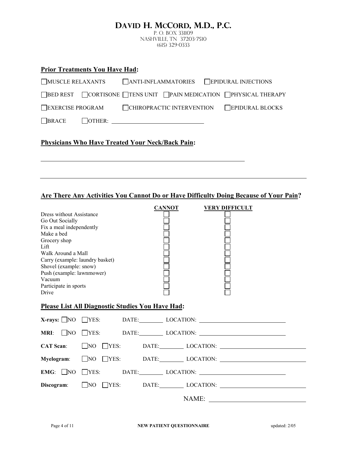P. O. Box 331109 Nashville, TN 37203-7510 (615) 329-0333

### **Prior Treatments You Have Had:**

| $\Box$ MUSCLE RELAXANTS |                            |  | $\Box$ ANTI-INFLAMMATORIES $\Box$ EPIDURAL INJECTIONS                                            |
|-------------------------|----------------------------|--|--------------------------------------------------------------------------------------------------|
|                         |                            |  | $\Box$ BED REST $\Box$ CORTISONE $\Box$ TENS UNIT $\Box$ PAIN MEDICATION $\Box$ PHYSICAL THERAPY |
|                         | EXERCISE PROGRAM           |  | □CHIROPRACTIC INTERVENTION □ □ EPIDURAL BLOCKS                                                   |
|                         | $\Box$ BRACE $\Box$ OTHER: |  |                                                                                                  |

### **Physicians Who Have Treated Your Neck/Back Pain:**

# **Are There Any Activities You Cannot Do or Have Difficulty Doing Because of Your Pain?**

| Dress without Assistance<br>Go Out Socially<br>Fix a meal independently<br>Make a bed<br>Grocery shop<br>Lift<br>Walk Around a Mall<br>Carry (example: laundry basket)<br>Shovel (example: snow)<br>Push (example: lawnmower)<br>Vacuum<br>Participate in sports<br>Drive |                                                         | <b>CANNOT</b> | <b>VERY DIFFICULT</b>                                   |  |
|---------------------------------------------------------------------------------------------------------------------------------------------------------------------------------------------------------------------------------------------------------------------------|---------------------------------------------------------|---------------|---------------------------------------------------------|--|
|                                                                                                                                                                                                                                                                           | <b>Please List All Diagnostic Studies You Have Had:</b> |               |                                                         |  |
|                                                                                                                                                                                                                                                                           |                                                         |               |                                                         |  |
|                                                                                                                                                                                                                                                                           |                                                         |               | $MRI: \Box NO \Box YES: \Box DATE: \Box LOCATION: \Box$ |  |
| <b>CAT Scan:</b>                                                                                                                                                                                                                                                          |                                                         |               |                                                         |  |
| Myelogram:                                                                                                                                                                                                                                                                |                                                         |               |                                                         |  |
|                                                                                                                                                                                                                                                                           |                                                         |               |                                                         |  |
|                                                                                                                                                                                                                                                                           |                                                         |               |                                                         |  |
|                                                                                                                                                                                                                                                                           |                                                         |               | NAME:                                                   |  |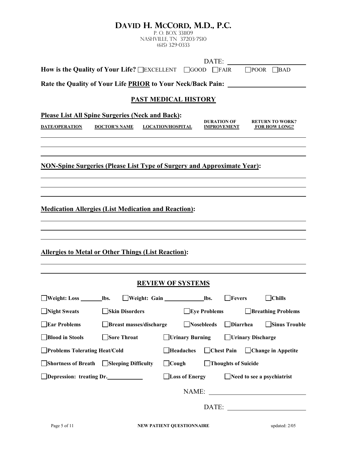|                                                                                |                         | DAVID H. MCCORD, M.D., P.C.<br><b>NASHVILLE, TN 37203-7510</b> | P. O. BOX 331109<br>$(615)$ 329-0333 |                     |                     |             |                                                |
|--------------------------------------------------------------------------------|-------------------------|----------------------------------------------------------------|--------------------------------------|---------------------|---------------------|-------------|------------------------------------------------|
| How is the Quality of Your Life? □EXCELLENT □ GOOD □ FAIR                      |                         |                                                                |                                      |                     | DATE:               | $\Box$ POOR | <b>BAD</b>                                     |
| Rate the Quality of Your Life PRIOR to Your Neck/Back Pain: ____               |                         |                                                                |                                      |                     |                     |             |                                                |
|                                                                                |                         | <b>PAST MEDICAL HISTORY</b>                                    |                                      |                     |                     |             |                                                |
| <b>Please List All Spine Surgeries (Neck and Back):</b>                        |                         |                                                                |                                      |                     |                     |             |                                                |
| <b>DATE/OPERATION</b>                                                          | <b>DOCTOR'S NAME</b>    | <b>LOCATION/HOSPITAL</b>                                       |                                      | DURATION OF         | <b>IMPROVEMENT</b>  |             | <b>RETURN TO WORK?</b><br><b>FOR HOW LONG?</b> |
| <b>NON-Spine Surgeries (Please List Type of Surgery and Approximate Year):</b> |                         |                                                                |                                      |                     |                     |             |                                                |
| <b>Medication Allergies (List Medication and Reaction):</b>                    |                         |                                                                |                                      |                     |                     |             |                                                |
| <b>Allergies to Metal or Other Things (List Reaction):</b>                     |                         |                                                                |                                      |                     |                     |             |                                                |
|                                                                                |                         | <b>REVIEW OF SYSTEMS</b>                                       |                                      |                     |                     |             |                                                |
| $\Box$ Weight: Loss $\_\_\_\_\$ lbs.                                           |                         |                                                                |                                      |                     | $\exists$ Fevers    |             | $\exists$ Chills                               |
| Night Sweats                                                                   | Skin Disorders          |                                                                |                                      | $\Box$ Eye Problems |                     |             | <b>Breathing Problems</b>                      |
| Ear Problems                                                                   | Breast masses/discharge |                                                                |                                      | $\Box$ Nosebleeds   | $\Box$ Diarrhea     |             | $\Box$ Sinus Trouble                           |
| <b>Blood in Stools</b>                                                         | Sore Throat             |                                                                | $\Box$ Urinary Burning               |                     | Urinary Discharge   |             |                                                |
| <b>Problems Tolerating Heat/Cold</b>                                           |                         |                                                                | Headaches                            | □Chest Pain         |                     |             | $\Box$ Change in Appetite                      |
| Shortness of Breath                                                            | Sleeping Difficulty     |                                                                | $\Box$ Cough                         |                     | Thoughts of Suicide |             |                                                |
| □Depression: treating Dr.                                                      |                         |                                                                | $\Box$ Loss of Energy                |                     |                     |             | $\Box$ Need to see a psychiatrist              |
|                                                                                |                         |                                                                |                                      |                     |                     |             |                                                |
|                                                                                |                         |                                                                |                                      |                     |                     |             |                                                |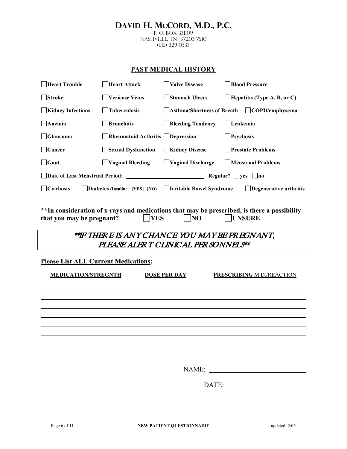P. O. Box 331109 Nashville, TN 37203-7510 (615) 329-0333

### **PAST MEDICAL HISTORY**

| <b>Heart Trouble</b>                                                                                                                                           | <b>Heart Attack</b>                           | Valve Disease                                                                          | <b>Blood Pressure</b>              |  |  |
|----------------------------------------------------------------------------------------------------------------------------------------------------------------|-----------------------------------------------|----------------------------------------------------------------------------------------|------------------------------------|--|--|
| $\Box$ Stroke                                                                                                                                                  | $\Box$ Vericose Veins                         | Stomach Ulcers                                                                         | $\Box$ Hepatitis (Type A, B, or C) |  |  |
| □Kidney Infections                                                                                                                                             | $\Box$ Tuberculosis                           | Asthma/Shortness of Breath                                                             | $\Box$ COPD/emphysema              |  |  |
| $\Box$ Anemia                                                                                                                                                  | $\Box$ Bronchitis                             | <b>Bleeding Tendency</b>                                                               | Leukemia                           |  |  |
| $\Box$ Glaucoma                                                                                                                                                | $\Box$ Rheumatoid Arthritis $\Box$ Depression |                                                                                        | $\Box$ Psychosis                   |  |  |
| $\Box$ Cancer                                                                                                                                                  | Sexual Dysfunction                            | Kidney Disease                                                                         | <b>Prostate Problems</b>           |  |  |
| $\Box$ Gout                                                                                                                                                    | $\Box$ Vaginal Bleeding                       | $\Box$ Vaginal Discharge                                                               | Menstrual Problems                 |  |  |
|                                                                                                                                                                |                                               |                                                                                        | Regular? $\Box$ yes $\Box$ no      |  |  |
| $\Box$ Cirrhosis                                                                                                                                               |                                               | <b>Diabetes (Insulin: □YES □NO)</b> □Irritable Bowel Syndrome                          | Degenerative arthritis             |  |  |
| **In consideration of x-rays and medications that may be prescribed, is there a possibility<br><b>UNSURE</b><br>NO]<br>that you may be pregnant?<br><b>YES</b> |                                               |                                                                                        |                                    |  |  |
|                                                                                                                                                                |                                               | **IF THERE IS ANY CHANCE YOU MAY BE PREGNANT,<br>PLEASE ALER T CLINICAL PER SONNEL!!** |                                    |  |  |
| <b>Please List ALL Current Medications:</b><br><b>MEDICATION/STREGNTH</b><br><b>DOSE PER DAY</b><br>PRESCRIBING M.D./REACTION                                  |                                               |                                                                                        |                                    |  |  |
|                                                                                                                                                                |                                               |                                                                                        |                                    |  |  |
|                                                                                                                                                                |                                               |                                                                                        |                                    |  |  |
|                                                                                                                                                                |                                               |                                                                                        |                                    |  |  |
|                                                                                                                                                                |                                               |                                                                                        |                                    |  |  |
|                                                                                                                                                                |                                               |                                                                                        |                                    |  |  |
|                                                                                                                                                                |                                               |                                                                                        |                                    |  |  |

NAME:

DATE: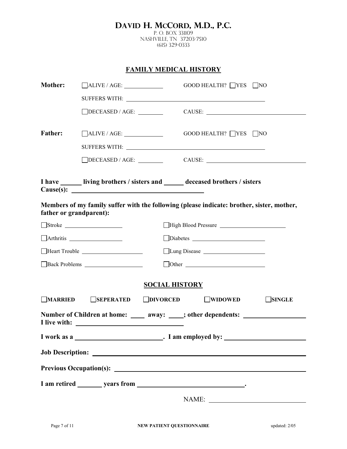P. O. Box 331109 Nashville, TN 37203-7510 (615) 329-0333

### **FAMILY MEDICAL HISTORY**

| <b>Mother:</b>          | $\Box$ ALIVE / AGE:                                                                                                                                                                                                            | GOOD HEALTH? $\Box$ YES $\Box$ NO                                                         |  |  |  |  |
|-------------------------|--------------------------------------------------------------------------------------------------------------------------------------------------------------------------------------------------------------------------------|-------------------------------------------------------------------------------------------|--|--|--|--|
|                         | SUFFERS WITH: New York Contract the Contract of the Contract of the Contract of the Contract of the Contract of the Contract of the Contract of the Contract of the Contract of the Contract of the Contract of the Contract o |                                                                                           |  |  |  |  |
|                         | $\Box$ DECEASED / AGE:                                                                                                                                                                                                         | CAUSE:                                                                                    |  |  |  |  |
| <b>Father:</b>          | $\Box$ ALIVE / AGE: $\Box$                                                                                                                                                                                                     | GOOD HEALTH? $\Box$ YES $\Box$ NO                                                         |  |  |  |  |
|                         |                                                                                                                                                                                                                                |                                                                                           |  |  |  |  |
|                         |                                                                                                                                                                                                                                | $\boxed{\text{DECEASED}/\text{AGE:}}$                                                     |  |  |  |  |
|                         | I have _______ living brothers / sisters and _______ deceased brothers / sisters                                                                                                                                               |                                                                                           |  |  |  |  |
| father or grandparent): |                                                                                                                                                                                                                                | Members of my family suffer with the following (please indicate: brother, sister, mother, |  |  |  |  |
|                         | $\Box$ Stroke $\Box$                                                                                                                                                                                                           | High Blood Pressure                                                                       |  |  |  |  |
|                         | Arthritis                                                                                                                                                                                                                      |                                                                                           |  |  |  |  |
|                         |                                                                                                                                                                                                                                |                                                                                           |  |  |  |  |
|                         |                                                                                                                                                                                                                                | $\Box$ Other                                                                              |  |  |  |  |
|                         | <b>SOCIAL HISTORY</b>                                                                                                                                                                                                          |                                                                                           |  |  |  |  |
| <b>MARRIED</b>          | $\Box$ SEPERATED<br>DIVORCED                                                                                                                                                                                                   | $\Box$ WIDOWED<br>$\Box$ SINGLE                                                           |  |  |  |  |
| I live with:            |                                                                                                                                                                                                                                | Number of Children at home: _____ away: ____; other dependents: ________________          |  |  |  |  |
|                         |                                                                                                                                                                                                                                |                                                                                           |  |  |  |  |
|                         |                                                                                                                                                                                                                                |                                                                                           |  |  |  |  |
|                         |                                                                                                                                                                                                                                |                                                                                           |  |  |  |  |
|                         |                                                                                                                                                                                                                                |                                                                                           |  |  |  |  |
|                         |                                                                                                                                                                                                                                |                                                                                           |  |  |  |  |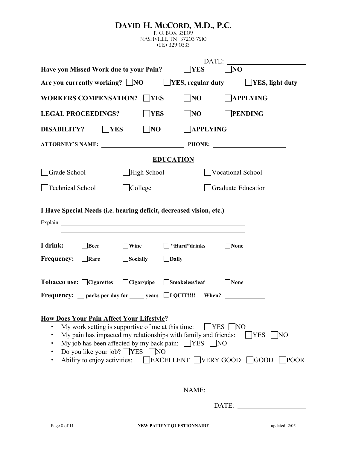P. O. Box 331109 Nashville, TN 37203-7510 (615) 329-0333

|                                                                                                                                                                                                                                                                                                                                                                                                                      | DATE:                                              |  |  |  |  |
|----------------------------------------------------------------------------------------------------------------------------------------------------------------------------------------------------------------------------------------------------------------------------------------------------------------------------------------------------------------------------------------------------------------------|----------------------------------------------------|--|--|--|--|
| Have you Missed Work due to your Pain?                                                                                                                                                                                                                                                                                                                                                                               | NO<br>YES                                          |  |  |  |  |
| Are you currently working? $\Box$ NO                                                                                                                                                                                                                                                                                                                                                                                 | <b>YES, regular duty</b><br>$\Box$ YES, light duty |  |  |  |  |
| <b>WORKERS COMPENSATION?</b><br><b>YES</b>                                                                                                                                                                                                                                                                                                                                                                           | $\neg$ NO<br><b>APPLYING</b>                       |  |  |  |  |
| <b>YES</b><br><b>LEGAL PROCEEDINGS?</b>                                                                                                                                                                                                                                                                                                                                                                              | <b>PENDING</b><br>$\overline{N}$                   |  |  |  |  |
| YES<br>$\Box$ NO<br><b>DISABILITY?</b>                                                                                                                                                                                                                                                                                                                                                                               | <b>APPLYING</b>                                    |  |  |  |  |
| ATTORNEY'S NAME:                                                                                                                                                                                                                                                                                                                                                                                                     |                                                    |  |  |  |  |
| <b>EDUCATION</b>                                                                                                                                                                                                                                                                                                                                                                                                     |                                                    |  |  |  |  |
| Grade School<br>High School                                                                                                                                                                                                                                                                                                                                                                                          | Vocational School                                  |  |  |  |  |
| <b>Technical School</b><br>College                                                                                                                                                                                                                                                                                                                                                                                   | Graduate Education                                 |  |  |  |  |
| I drink:<br>$\Box$ Beer<br>$\Box$ Wine<br>$\Box$ "Hard" drinks<br>$\Box$ None<br><b>Frequency:</b><br>$\Box$ Socially<br>$\Box$ Rare<br>$\Box$ Daily                                                                                                                                                                                                                                                                 |                                                    |  |  |  |  |
| Tobacco use: $\Box$ Cigarettes<br>$\Box$ Cigar/pipe<br>$\Box$ Smokeless/leaf<br>$\Box$ None<br>Frequency: $\_\$ packs per day for $\_\$ years $\[\]$ I QUIT!!!!<br>When?                                                                                                                                                                                                                                             |                                                    |  |  |  |  |
| <b>How Does Your Pain Affect Your Lifestyle?</b><br>My work setting is supportive of me at this time: $\Box$ YES $\Box$ NO<br>٠<br>My pain has impacted my relationships with family and friends: $\Box$ YES $\Box$ NO<br>٠<br>My job has been affected by my back pain: $\Box$ YES $\Box$ NO<br>٠<br>Do you like your job? $YES$ $NO$<br>٠<br>Ability to enjoy activities: <u>CEXCELLENT</u> COERY GOOD CGOOD CPOOR |                                                    |  |  |  |  |
|                                                                                                                                                                                                                                                                                                                                                                                                                      |                                                    |  |  |  |  |
|                                                                                                                                                                                                                                                                                                                                                                                                                      | DATE:                                              |  |  |  |  |

Page 8 of 11 **NEW PATIENT QUESTIONNAIRE** updated: 2/05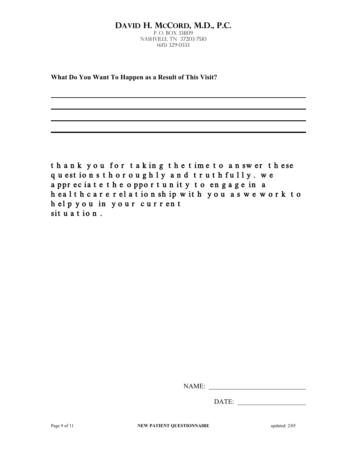### **David H. McCord, M.D., P.C.** P. O. Box 331109 Nashville, TN 37203-7510 (615) 329-0333

**What Do You Want To Happen as a Result of This Visit?**

thank you for taking the time to answer these quest ionsthoroughly and truthfully. we a ppr ec iate the opportunity to engage in a h ealth care r elation ship with you as we work to h elp you in your current sit u a t io n .

NAME:

DATE: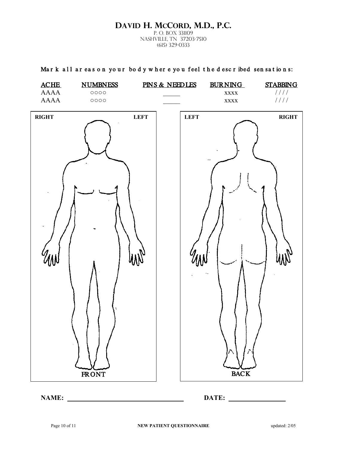### **David H. McCord, M.D., P.C.** P. O. Box 331109 Nashville, TN 37203-7510 (615) 329-0333



### Mark all ar eas on your body where you feel the described sensations:

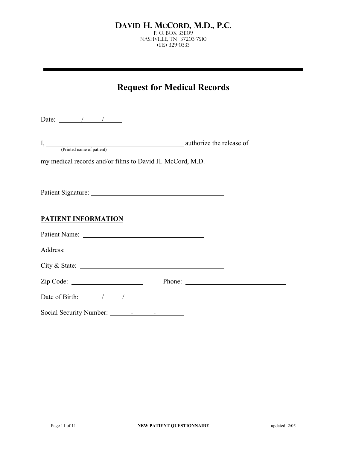P. O. Box 331109 Nashville, TN 37203-7510 (615) 329-0333

# **Request for Medical Records**

| Date: $\frac{1}{\sqrt{1-\frac{1}{2}}}$                   |        |
|----------------------------------------------------------|--------|
|                                                          |        |
| my medical records and/or films to David H. McCord, M.D. |        |
|                                                          |        |
| PATIENT INFORMATION                                      |        |
|                                                          |        |
|                                                          |        |
| City & State:                                            |        |
|                                                          | Phone: |
| Date of Birth: $\frac{1}{2}$ / $\frac{1}{2}$             |        |
|                                                          |        |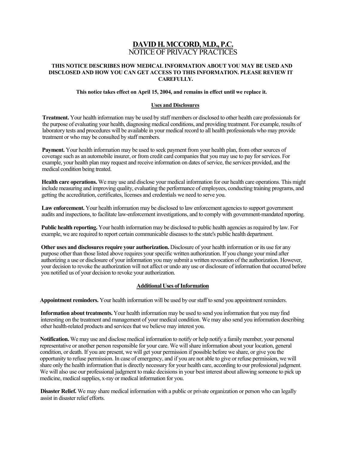## NOTICE OF PRIVACY PRACTICES **DAVID H. MCCORD, M.D., P.C.**

#### **THIS NOTICE DESCRIBES HOW MEDICAL INFORMATION ABOUT YOU MAY BE USED AND DISCLOSED AND HOW YOU CAN GET ACCESS TO THIS INFORMATION. PLEASE REVIEW IT CAREFULLY.**

#### **This notice takes effect on April 15, 2004, and remains in effect until we replace it.**

#### **Uses and Disclosures**

**Treatment.** Your health information may be used by staff members or disclosed to other health care professionals for the purpose of evaluating your health, diagnosing medical conditions, and providing treatment. For example, results of laboratory tests and procedures will be available in your medical record to all health professionals who may provide treatment or who may be consulted by staff members.

**Payment.** Your health information may be used to seek payment from your health plan, from other sources of coverage such as an automobile insurer, or from credit card companies that you may use to pay for services. For example, your health plan may request and receive information on dates of service, the services provided, and the medical condition being treated.

**Health care operations.** We may use and disclose your medical information for our health care operations. This might include measuring and improving quality, evaluating the performance of employees, conducting training programs, and getting the accreditation, certificates, licenses and credentials we need to serve you.

**Law enforcement.** Your health information may be disclosed to law enforcement agencies to support government audits and inspections, to facilitate law-enforcement investigations, and to comply with government-mandated reporting.

**Public health reporting.** Your health information may be disclosed to public health agencies as required by law. For example, we are required to report certain communicable diseases to the state's public health department.

**Other uses and disclosures require your authorization.** Disclosure of your health information or its use for any purpose other than those listed above requires your specific written authorization. If you change your mind after authorizing a use or disclosure of your information you may submit a written revocation of the authorization. However, your decision to revoke the authorization will not affect or undo any use or disclosure of information that occurred before you notified us of your decision to revoke your authorization.

### **Additional Uses of Information**

**Appointment reminders.** Your health information will be used by our staff to send you appointment reminders.

**Information about treatments.** Your health information may be used to send you information that you may find interesting on the treatment and management of your medical condition. We may also send you information describing other health-related products and services that we believe may interest you.

**Notification.** We may use and disclose medical information to notify or help notify a family member, your personal representative or another person responsible for your care. We will share information about your location, general condition, or death. If you are present, we will get your permission if possible before we share, or give you the opportunity to refuse permission. In case of emergency, and if you are not able to give or refuse permission, we will share only the health information that is directly necessary for your health care, according to our professional judgment. We will also use our professional judgment to make decisions in your best interest about allowing someone to pick up medicine, medical supplies, x-ray or medical information for you.

**Disaster Relief.** We may share medical information with a public or private organization or person who can legally assist in disaster relief efforts.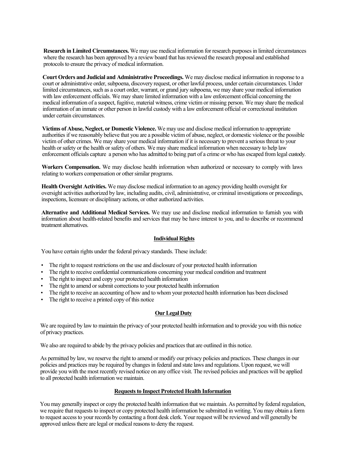**Research in Limited Circumstances.** We may use medical information for research purposes in limited circumstances where the research has been approved by a review board that has reviewed the research proposal and established protocols to ensure the privacy of medical information.

**Court Orders and Judicial and Administrative Proceedings.** We may disclose medical information in response to a court or administrative order, subpoena, discovery request, or other lawful process, under certain circumstances. Under limited circumstances, such as a court order, warrant, or grand jury subpoena, we may share your medical information with law enforcement officials. We may share limited information with a law enforcement official concerning the medical information of a suspect, fugitive, material witness, crime victim or missing person. We may share the medical information of an inmate or other person in lawful custody with a law enforcement official or correctional institution under certain circumstances.

**Victims of Abuse, Neglect, or Domestic Violence.** We may use and disclose medical information to appropriate authorities if we reasonably believe that you are a possible victim of abuse, neglect, or domestic violence or the possible victim of other crimes. We may share your medical information if it is necessary to prevent a serious threat to your health or safety or the health or safety of others. We may share medical information when necessary to help law enforcement officials capture a person who has admitted to being part of a crime or who has escaped from legal custody.

**Workers Compensation.** We may disclose health information when authorized or necessary to comply with laws relating to workers compensation or other similar programs.

**Health Oversight Activities.** We may disclose medical information to an agency providing health oversight for oversight activities authorized by law, including audits, civil, administrative, or criminal investigations or proceedings, inspections, licensure or disciplinary actions, or other authorized activities.

**Alternative and Additional Medical Services.** We may use and disclose medical information to furnish you with information about health-related benefits and services that may be have interest to you, and to describe or recommend treatment alternatives.

### **Individual Rights**

You have certain rights under the federal privacy standards. These include:

- The right to request restrictions on the use and disclosure of your protected health information
- The right to receive confidential communications concerning your medical condition and treatment
- The right to inspect and copy your protected health information
- The right to amend or submit corrections to your protected health information
- The right to receive an accounting of how and to whom your protected health information has been disclosed
- The right to receive a printed copy of this notice

### **Our Legal Duty**

We are required by law to maintain the privacy of your protected health information and to provide you with this notice of privacy practices.

We also are required to abide by the privacy policies and practices that are outlined in this notice.

As permitted by law, we reserve the right to amend or modify our privacy policies and practices. These changes in our policies and practices may be required by changes in federal and state laws and regulations. Upon request, we will provide you with the most recently revised notice on any office visit. The revised policies and practices will be applied to all protected health information we maintain.

### **Requests to Inspect Protected Health Information**

You may generally inspect or copy the protected health information that we maintain. As permitted by federal regulation, we require that requests to inspect or copy protected health information be submitted in writing. You may obtain a form to request access to your records by contacting a front desk clerk. Your request will be reviewed and will generally be approved unless there are legal or medical reasons to deny the request.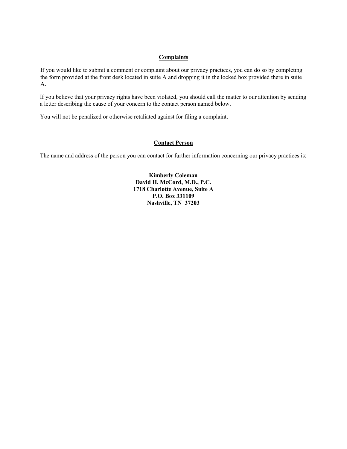### **Complaints**

If you would like to submit a comment or complaint about our privacy practices, you can do so by completing the form provided at the front desk located in suite A and dropping it in the locked box provided there in suite A.

If you believe that your privacy rights have been violated, you should call the matter to our attention by sending a letter describing the cause of your concern to the contact person named below.

You will not be penalized or otherwise retaliated against for filing a complaint.

#### **Contact Person**

The name and address of the person you can contact for further information concerning our privacy practices is:

**Kimberly Coleman David H. McCord, M.D., P.C. 1718 Charlotte Avenue, Suite A P.O. Box 331109 Nashville, TN 37203**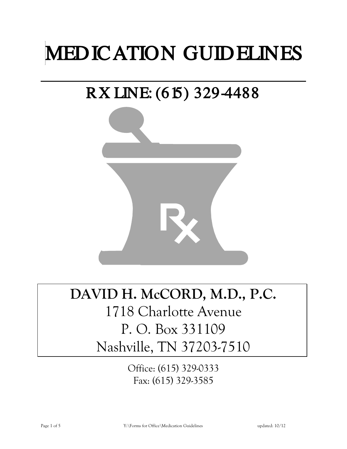# MEDICATION GUIDELINES

# R X LINE: (615) 329-4488



# **DAVID H. McCORD, M.D., P.C.** 1718 Charlotte Avenue P. O. Box 331109 Nashville, TN 37203-7510

Office: (615) 329-0333 Fax: (615) 329-3585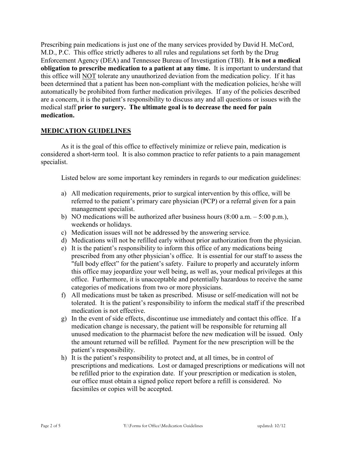Prescribing pain medications is just one of the many services provided by David H. McCord, M.D., P.C. This office strictly adheres to all rules and regulations set forth by the Drug Enforcement Agency (DEA) and Tennessee Bureau of Investigation (TBI). **It is not a medical obligation to prescribe medication to a patient at any time.** It is important to understand that this office will NOT tolerate any unauthorized deviation from the medication policy. If it has been determined that a patient has been non-compliant with the medication policies, he/she will automatically be prohibited from further medication privileges. If any of the policies described are a concern, it is the patient's responsibility to discuss any and all questions or issues with the medical staff **prior to surgery. The ultimate goal is to decrease the need for pain medication.**

### **MEDICATION GUIDELINES**

As it is the goal of this office to effectively minimize or relieve pain, medication is considered a short-term tool. It is also common practice to refer patients to a pain management specialist.

Listed below are some important key reminders in regards to our medication guidelines:

- a) All medication requirements, prior to surgical intervention by this office, will be referred to the patient's primary care physician (PCP) or a referral given for a pain management specialist.
- b) NO medications will be authorized after business hours  $(8:00 \text{ a.m.} 5:00 \text{ p.m.})$ , weekends or holidays.
- c) Medication issues will not be addressed by the answering service.
- d) Medications will not be refilled early without prior authorization from the physician.
- e) It is the patient's responsibility to inform this office of any medications being prescribed from any other physician's office. It is essential for our staff to assess the "full body effect" for the patient's safety. Failure to properly and accurately inform this office may jeopardize your well being, as well as, your medical privileges at this office. Furthermore, it is unacceptable and potentially hazardous to receive the same categories of medications from two or more physicians.
- f) All medications must be taken as prescribed. Misuse or self-medication will not be tolerated. It is the patient's responsibility to inform the medical staff if the prescribed medication is not effective.
- g) In the event of side effects, discontinue use immediately and contact this office. If a medication change is necessary, the patient will be responsible for returning all unused medication to the pharmacist before the new medication will be issued. Only the amount returned will be refilled. Payment for the new prescription will be the patient's responsibility.
- h) It is the patient's responsibility to protect and, at all times, be in control of prescriptions and medications. Lost or damaged prescriptions or medications will not be refilled prior to the expiration date. If your prescription or medication is stolen, our office must obtain a signed police report before a refill is considered. No facsimiles or copies will be accepted.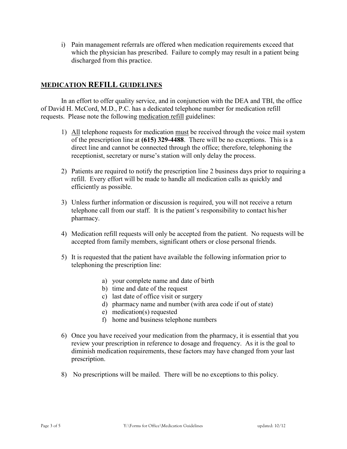i) Pain management referrals are offered when medication requirements exceed that which the physician has prescribed. Failure to comply may result in a patient being discharged from this practice.

### **MEDICATION REFILL GUIDELINES**

In an effort to offer quality service, and in conjunction with the DEA and TBI, the office of David H. McCord, M.D., P.C. has a dedicated telephone number for medication refill requests. Please note the following medication refill guidelines:

- 1) All telephone requests for medication must be received through the voice mail system of the prescription line at **(615) 329-4488**. There will be no exceptions. This is a direct line and cannot be connected through the office; therefore, telephoning the receptionist, secretary or nurse's station will only delay the process.
- 2) Patients are required to notify the prescription line 2 business days prior to requiring a refill. Every effort will be made to handle all medication calls as quickly and efficiently as possible.
- 3) Unless further information or discussion is required, you will not receive a return telephone call from our staff. It is the patient's responsibility to contact his/her pharmacy.
- 4) Medication refill requests will only be accepted from the patient. No requests will be accepted from family members, significant others or close personal friends.
- 5) It is requested that the patient have available the following information prior to telephoning the prescription line:
	- a) your complete name and date of birth
	- b) time and date of the request
	- c) last date of office visit or surgery
	- d) pharmacy name and number (with area code if out of state)
	- e) medication(s) requested
	- f) home and business telephone numbers
- 6) Once you have received your medication from the pharmacy, it is essential that you review your prescription in reference to dosage and frequency. As it is the goal to diminish medication requirements, these factors may have changed from your last prescription.
- 8) No prescriptions will be mailed. There will be no exceptions to this policy.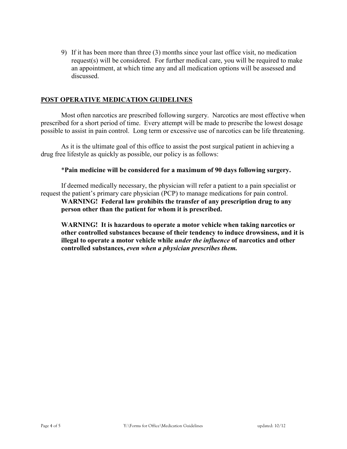9) If it has been more than three (3) months since your last office visit, no medication request(s) will be considered. For further medical care, you will be required to make an appointment, at which time any and all medication options will be assessed and discussed.

### **POST OPERATIVE MEDICATION GUIDELINES**

Most often narcotics are prescribed following surgery. Narcotics are most effective when prescribed for a short period of time. Every attempt will be made to prescribe the lowest dosage possible to assist in pain control. Long term or excessive use of narcotics can be life threatening.

As it is the ultimate goal of this office to assist the post surgical patient in achieving a drug free lifestyle as quickly as possible, our policy is as follows:

### \***Pain medicine will be considered for a maximum of 90 days following surgery.**

If deemed medically necessary, the physician will refer a patient to a pain specialist or request the patient's primary care physician (PCP) to manage medications for pain control.

**WARNING! Federal law prohibits the transfer of any prescription drug to any person other than the patient for whom it is prescribed.**

**WARNING! It is hazardous to operate a motor vehicle when taking narcotics or other controlled substances because of their tendency to induce drowsiness, and it is illegal to operate a motor vehicle while** *under the influence* **of narcotics and other controlled substances,** *even when a physician prescribes them.*